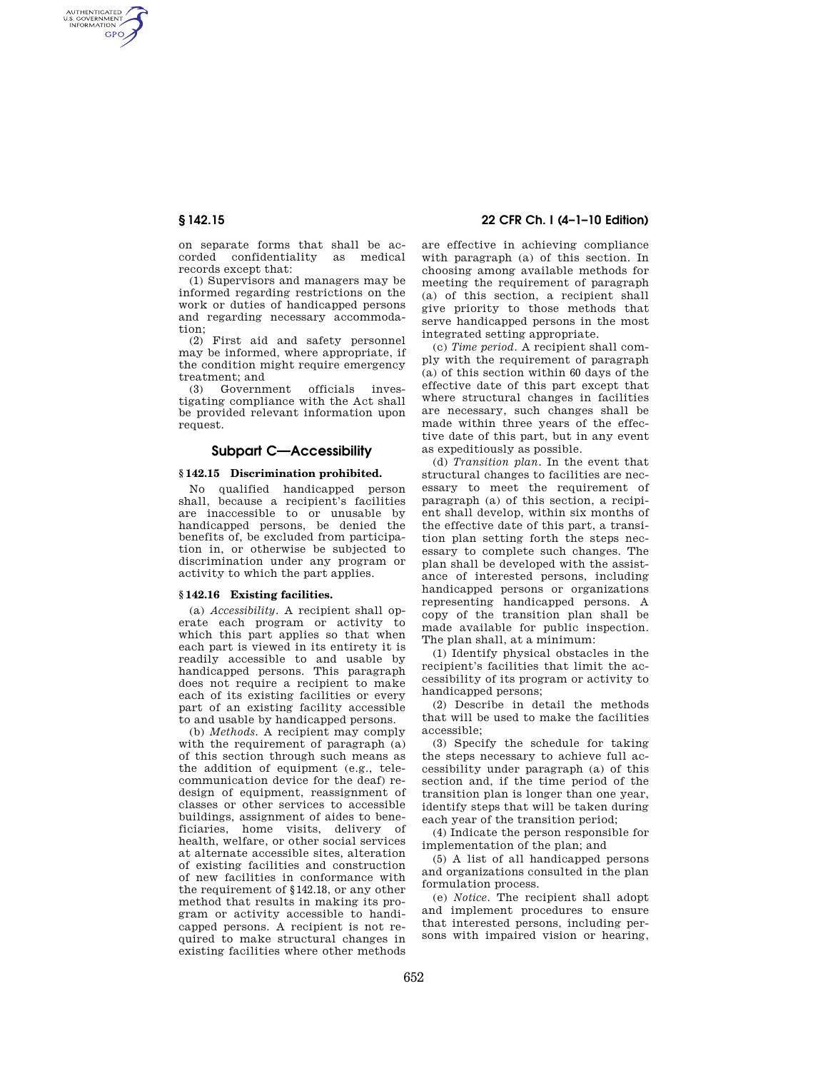AUTHENTICATED<br>U.S. GOVERNMENT<br>INFORMATION **GPO** 

> on separate forms that shall be accorded confidentiality as medical records except that:

> (1) Supervisors and managers may be informed regarding restrictions on the work or duties of handicapped persons and regarding necessary accommodation;

> (2) First aid and safety personnel may be informed, where appropriate, if the condition might require emergency treatment; and

> (3) Government officials investigating compliance with the Act shall be provided relevant information upon request.

## **Subpart C—Accessibility**

## **§ 142.15 Discrimination prohibited.**

No qualified handicapped person shall, because a recipient's facilities are inaccessible to or unusable by handicapped persons, be denied the benefits of, be excluded from participation in, or otherwise be subjected to discrimination under any program or activity to which the part applies.

#### **§ 142.16 Existing facilities.**

(a) *Accessibility.* A recipient shall operate each program or activity to which this part applies so that when each part is viewed in its entirety it is readily accessible to and usable by handicapped persons. This paragraph does not require a recipient to make each of its existing facilities or every part of an existing facility accessible to and usable by handicapped persons.

(b) *Methods.* A recipient may comply with the requirement of paragraph (a) of this section through such means as the addition of equipment (e.g., telecommunication device for the deaf) redesign of equipment, reassignment of classes or other services to accessible buildings, assignment of aides to beneficiaries, home visits, delivery of health, welfare, or other social services at alternate accessible sites, alteration of existing facilities and construction of new facilities in conformance with the requirement of §142.18, or any other method that results in making its program or activity accessible to handicapped persons. A recipient is not required to make structural changes in existing facilities where other methods

## **§ 142.15 22 CFR Ch. I (4–1–10 Edition)**

are effective in achieving compliance with paragraph (a) of this section. In choosing among available methods for meeting the requirement of paragraph (a) of this section, a recipient shall give priority to those methods that serve handicapped persons in the most integrated setting appropriate.

(c) *Time period.* A recipient shall comply with the requirement of paragraph (a) of this section within 60 days of the effective date of this part except that where structural changes in facilities are necessary, such changes shall be made within three years of the effective date of this part, but in any event as expeditiously as possible.

(d) *Transition plan.* In the event that structural changes to facilities are necessary to meet the requirement of paragraph (a) of this section, a recipient shall develop, within six months of the effective date of this part, a transition plan setting forth the steps necessary to complete such changes. The plan shall be developed with the assistance of interested persons, including handicapped persons or organizations representing handicapped persons. A copy of the transition plan shall be made available for public inspection. The plan shall, at a minimum:

(1) Identify physical obstacles in the recipient's facilities that limit the accessibility of its program or activity to handicapped persons;

(2) Describe in detail the methods that will be used to make the facilities accessible;

(3) Specify the schedule for taking the steps necessary to achieve full accessibility under paragraph (a) of this section and, if the time period of the transition plan is longer than one year, identify steps that will be taken during each year of the transition period;

(4) Indicate the person responsible for implementation of the plan; and

(5) A list of all handicapped persons and organizations consulted in the plan formulation process.

(e) *Notice.* The recipient shall adopt and implement procedures to ensure that interested persons, including persons with impaired vision or hearing,